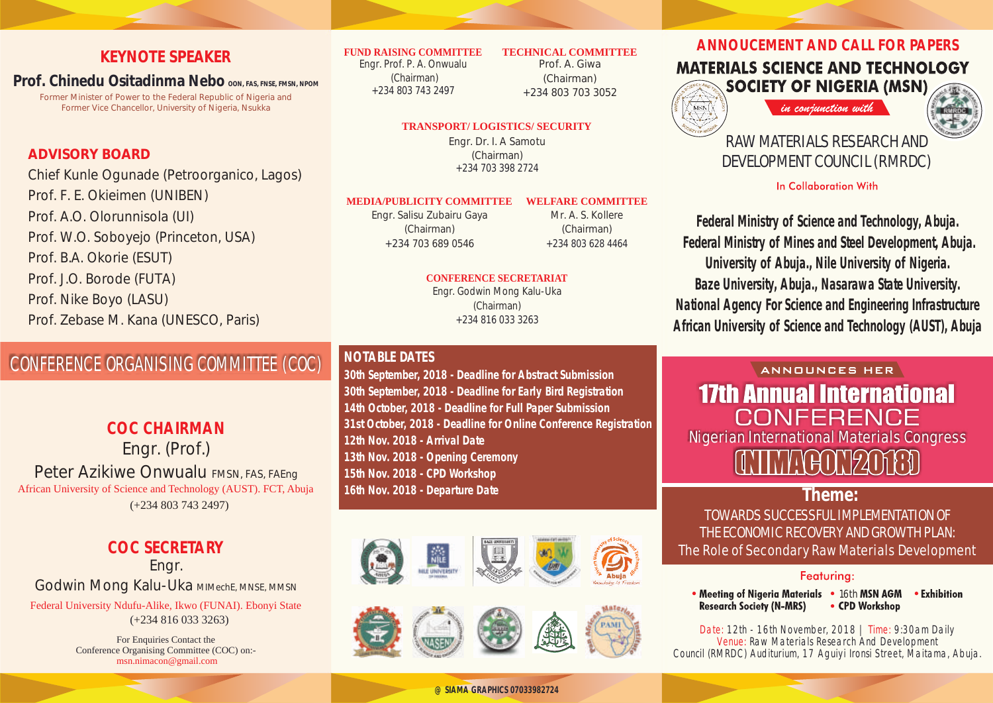### **KEYNOTE SPEAKER**

**Prof. Chinedu Ositadinma Nebo OON, FAS, FNSE, FMSN, NPOM**

Former Minister of Power to the Federal Republic of Nigeria and Former Vice Chancellor, University of Nigeria, Nsukka

### **ADVISORY BOARD**

Chief Kunle Ogunade (Petroorganico, Lagos) Prof. F. E. Okieimen (UNIBEN) Prof. A.O. Olorunnisola (UI) Prof. W.O. Soboyejo (Princeton, USA) Prof. B.A. Okorie (ESUT) Prof. J.O. Borode (FUTA) Prof. Nike Boyo (LASU) Prof. Zebase M. Kana (UNESCO, Paris)

## CONFERENCE ORGANISING COMMITTEE (COC)

Engr. (Prof.) Peter Azikiwe Onwualu FMSN, FAS, FAEng African University of Science and Technology (AUST). FCT, Abuja **COC CHAIRMAN** (+234 803 743 2497)

### **COC SECRETARY**

Engr. Godwin Mong Kalu-Uka MIMechE, MNSE, MMSN Federal University Ndufu-Alike, Ikwo (FUNAI). Ebonyi State (+234 816 033 3263)

> For Enquiries Contact the Conference Organising Committee (COC) on: msn.nimacon@gmail.com

#### **FUND RAISING COMMITTEE**

Engr. Prof. P. A. Onwualu (Chairman) +234 803 743 2497

Prof. A. Giwa (Chairman) +234 803 703 3052

**TECHNICAL COMMITTEE**

### **TRANSPORT/ LOGISTICS/ SECURITY**

Engr. Dr. I. A Samotu (Chairman) +234 703 398 2724

#### **MEDIA/PUBLICITY COMMITTEE WELFARE COMMITTEE**

Engr. Salisu Zubairu Gaya (Chairman) +234 703 689 0546

Mr. A. S. Kollere (Chairman) +234 803 628 4464

### **CONFERENCE SECRETARIAT**

Engr. Godwin Mong Kalu-Uka (Chairman) +234 816 033 3263

### **NOTABLE DATES**

**30th September, 2018 - Deadline for Abstract Submission 30th September, 2018 - Deadline for Early Bird Registration 14th October, 2018 - Deadline for Full Paper Submission 31st October, 2018 - Deadline for Online Conference Registration 12th Nov. 2018 - Arrival Date 13th Nov. 2018 - Opening Ceremony 15th Nov. 2018 - CPD Workshop 16th Nov. 2018 - Departure Date**





**ANNOUCEMENT AND CALL FOR PAPERS**

### **MATERIALS SCIENCE AND TECHNOLOGY SOCIETY OF NIGERIA (MSN)**

in conjunction with



### RAW MATERIALS RESEARCH AND DEVELOPMENT COUNCIL (RMRDC)

### **In Collaboration With**

**Federal Ministry of Science and Technology , Abuja. Federal Ministry of Mines and Steel Development, Abuja. University of Abuja., Nile University of Nigeria. Baze University, Abuja., Nasarawa State University. National Agency For Science and Engineering Infrastructure African University of Science and Technology (AUST), Abuja**

# ANNOUNCES HER **17th Annual International** CONFFRENCE Nigerian International Materials Congress

**Theme:** TOWARDS SUCCESSFUL IMPLEMENTATION OF THE ECONOMIC RECOVERY AND GROWTH PLAN: The Role of Secondary Raw Materials Development

### Featurina:

• Meeting of Nigeria Materials • 16th MSN AGM • Exhibition **Research Society (N-MRS)** • CPD Workshop

Date: 12th - 16th November, 2018 | Time: 9:30am Daily Venue: Raw Materials Research And Development Council (RMRDC) Auditurium, 17 Aguiyi Ironsi Street, Maitama, Abuja.